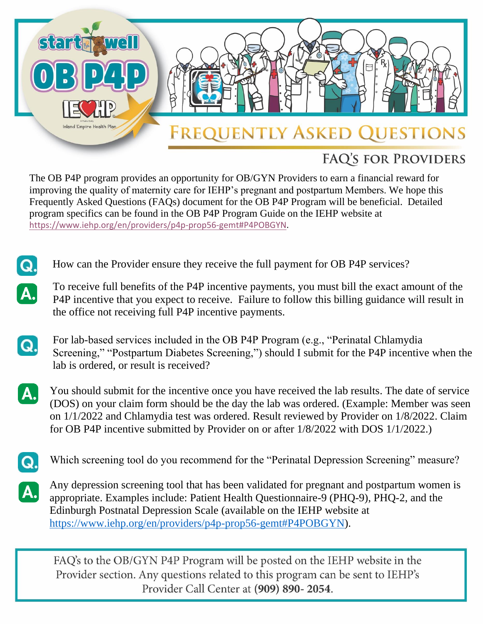

## **FAQ'S FOR PROVIDERS**

The OB P4P program provides an opportunity for OB/GYN Providers to earn a financial reward for improving the quality of maternity care for IEHP's pregnant and postpartum Members. We hope this Frequently Asked Questions (FAQs) document for the OB P4P Program will be beneficial. Detailed program specifics can be found in the OB P4P Program Guide on the IEHP website at [https://www.iehp.org/en/providers/p4p-prop56-gemt#P4POBGYN.](https://www.iehp.org/en/providers/p4p-prop56-gemt#P4POBGYN)

- How can the Provider ensure they receive the full payment for OB P4P services?
- To receive full benefits of the P4P incentive payments, you must bill the exact amount of the P4P incentive that you expect to receive. Failure to follow this billing guidance will result in the office not receiving full P4P incentive payments.
- Q.

 $\boldsymbol{\Omega}$ .

 $\overline{\mathbf{A}}$ 

For lab-based services included in the OB P4P Program (e.g., "Perinatal Chlamydia Screening," "Postpartum Diabetes Screening,") should I submit for the P4P incentive when the lab is ordered, or result is received?

- You should submit for the incentive once you have received the lab results. The date of service А. (DOS) on your claim form should be the day the lab was ordered. (Example: Member was seen on 1/1/2022 and Chlamydia test was ordered. Result reviewed by Provider on 1/8/2022. Claim for OB P4P incentive submitted by Provider on or after 1/8/2022 with DOS 1/1/2022.)
- Q.

Which screening tool do you recommend for the "Perinatal Depression Screening" measure?

Any depression screening tool that has been validated for pregnant and postpartum women is A. appropriate. Examples include: Patient Health Questionnaire-9 (PHQ-9), PHQ-2, and the Edinburgh Postnatal Depression Scale (available on the IEHP website at [https://www.iehp.org/en/providers/p4p-prop56-gemt#P4POBGYN\)](https://www.iehp.org/en/providers/p4p-prop56-gemt#P4POBGYN).

FAQ's to the OB/GYN P4P Program will be posted on the IEHP website in the Provider section. Any questions related to this program can be sent to IEHP's Provider Call Center at (909) 890-2054.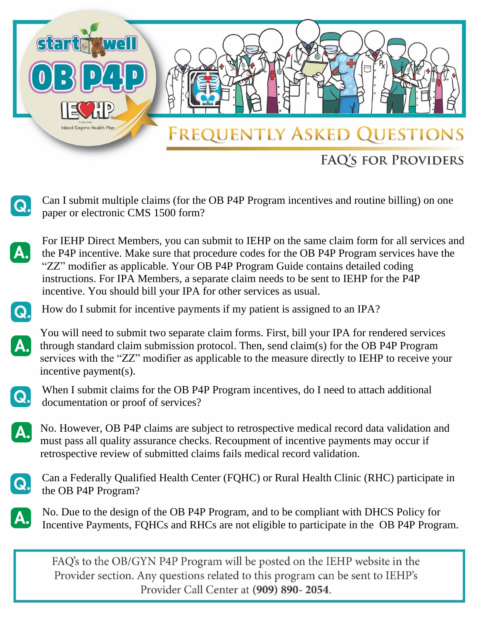

Can I submit multiple claims (for the OB P4P Program incentives and routine billing) on one paper or electronic CMS 1500 form?



 $\mathbf{C}$ 

For IEHP Direct Members, you can submit to IEHP on the same claim form for all services and the P4P incentive. Make sure that procedure codes for the OB P4P Program services have the "ZZ" modifier as applicable. Your OB P4P Program Guide contains detailed coding instructions. For IPA Members, a separate claim needs to be sent to IEHP for the P4P incentive. You should bill your IPA for other services as usual.



How do I submit for incentive payments if my patient is assigned to an IPA?



You will need to submit two separate claim forms. First, bill your IPA for rendered services through standard claim submission protocol. Then, send claim(s) for the OB P4P Program services with the "ZZ" modifier as applicable to the measure directly to IEHP to receive your incentive payment(s).



When I submit claims for the OB P4P Program incentives, do I need to attach additional documentation or proof of services?

No. However, OB P4P claims are subject to retrospective medical record data validation and must pass all quality assurance checks. Recoupment of incentive payments may occur if retrospective review of submitted claims fails medical record validation.



Can a Federally Qualified Health Center (FQHC) or Rural Health Clinic (RHC) participate in the OB P4P Program?

No. Due to the design of the OB P4P Program, and to be compliant with DHCS Policy for Incentive Payments, FQHCs and RHCs are not eligible to participate in the OB P4P Program.

FAQ's to the OB/GYN P4P Program will be posted on the IEHP website in the Provider section. Any questions related to this program can be sent to IEHP's Provider Call Center at (909) 890-2054.